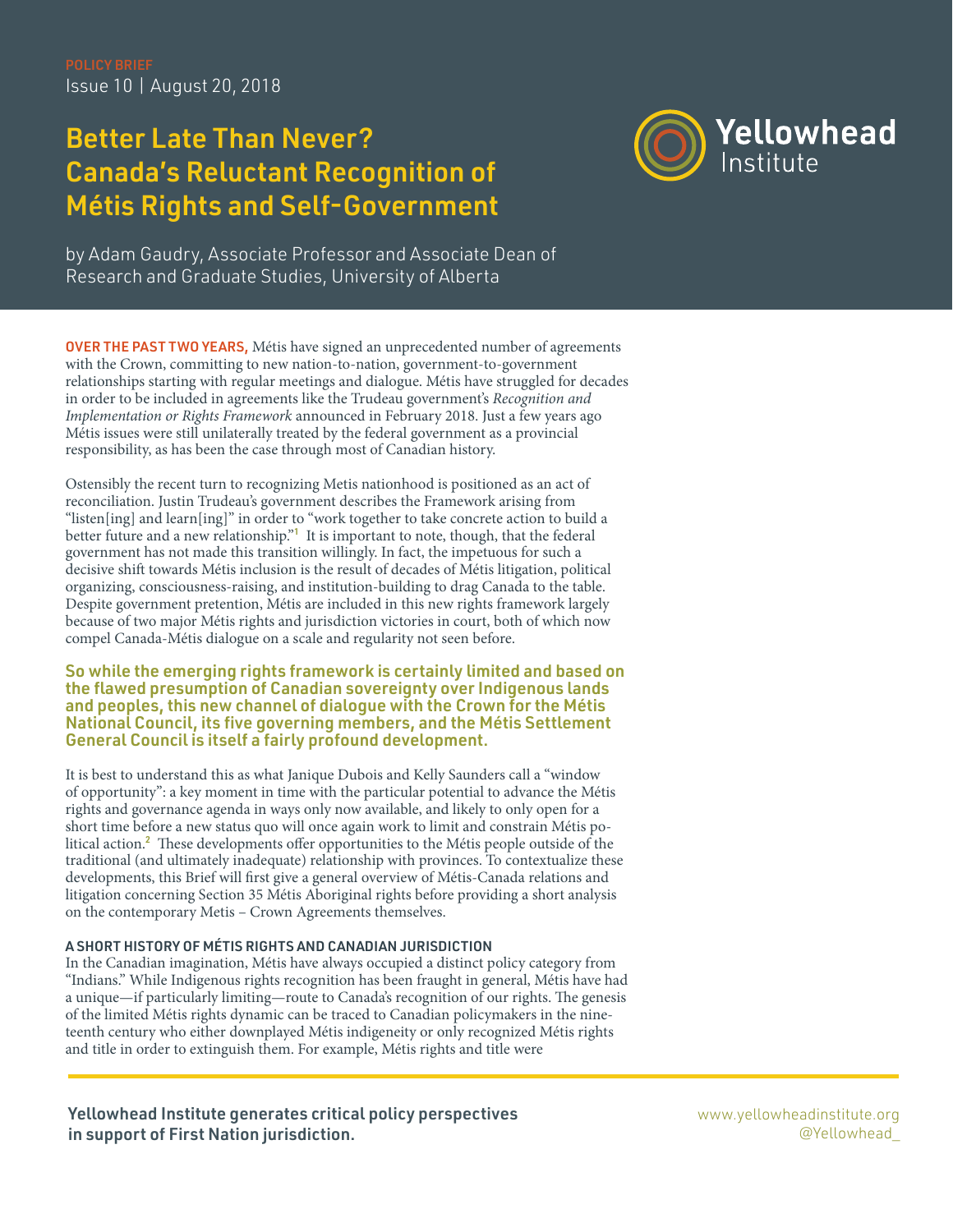Issue 10 | August 20, 2018

# Better Late Than Never? Canada's Reluctant Recognition of Métis Rights and Self-Government



by Adam Gaudry, Associate Professor and Associate Dean of Research and Graduate Studies, University of Alberta

**OVER THE PAST TWO YEARS, Métis have signed an unprecedented number of agreements** with the Crown, committing to new nation-to-nation, government-to-government relationships starting with regular meetings and dialogue. Métis have struggled for decades in order to be included in agreements like the Trudeau government's Recognition and Implementation or Rights Framework announced in February 2018. Just a few years ago Métis issues were still unilaterally treated by the federal government as a provincial responsibility, as has been the case through most of Canadian history.

Ostensibly the recent turn to recognizing Metis nationhood is positioned as an act of reconciliation. Justin Trudeau's government describes the Framework arising from "listen[ing] and learn[ing]" in order to "work together to take concrete action to build a better future and a new relationship."<sup>1</sup> It is important to note, though, that the federal government has not made this transition willingly. In fact, the impetuous for such a decisive shift towards Métis inclusion is the result of decades of Métis litigation, political organizing, consciousness-raising, and institution-building to drag Canada to the table. Despite government pretention, Métis are included in this new rights framework largely because of two major Métis rights and jurisdiction victories in court, both of which now compel Canada-Métis dialogue on a scale and regularity not seen before.

So while the emerging rights framework is certainly limited and based on the flawed presumption of Canadian sovereignty over Indigenous lands and peoples, this new channel of dialogue with the Crown for the Métis National Council, its five governing members, and the Métis Settlement General Council is itself a fairly profound development.

It is best to understand this as what Janique Dubois and Kelly Saunders call a "window of opportunity": a key moment in time with the particular potential to advance the Métis rights and governance agenda in ways only now available, and likely to only open for a short time before a new status quo will once again work to limit and constrain Métis political action.<sup>2</sup> These developments offer opportunities to the Métis people outside of the traditional (and ultimately inadequate) relationship with provinces. To contextualize these developments, this Brief will first give a general overview of Métis-Canada relations and litigation concerning Section 35 Métis Aboriginal rights before providing a short analysis on the contemporary Metis – Crown Agreements themselves.

### A SHORT HISTORY OF MÉTIS RIGHTS AND CANADIAN JURISDICTION

In the Canadian imagination, Métis have always occupied a distinct policy category from "Indians." While Indigenous rights recognition has been fraught in general, Métis have had a unique—if particularly limiting—route to Canada's recognition of our rights. The genesis of the limited Métis rights dynamic can be traced to Canadian policymakers in the nineteenth century who either downplayed Métis indigeneity or only recognized Métis rights and title in order to extinguish them. For example, Métis rights and title were

Yellowhead Institute generates critical policy perspectives in support of First Nation jurisdiction.

[www.yellowheadinstitute.org](http://www.yellowheadinstitute.org) @Yellowhead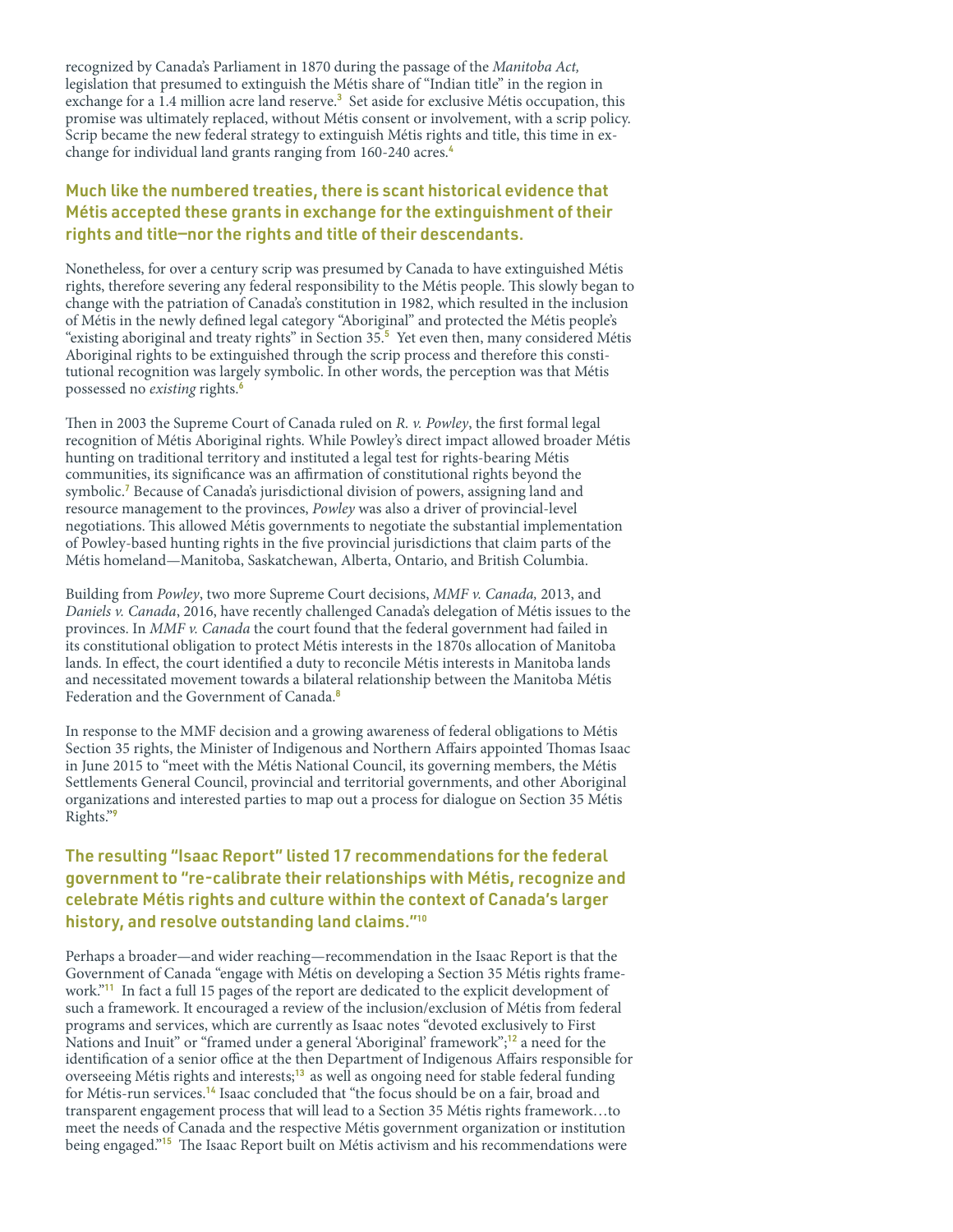recognized by Canada's Parliament in 1870 during the passage of the Manitoba Act, legislation that presumed to extinguish the Métis share of "Indian title" in the region in exchange for a 1.4 million acre land reserve.<sup>3</sup> Set aside for exclusive Métis occupation, this promise was ultimately replaced, without Métis consent or involvement, with a scrip policy. Scrip became the new federal strategy to extinguish Métis rights and title, this time in exchange for individual land grants ranging from 160-240 acres.<sup>4</sup>

## Much like the numbered treaties, there is scant historical evidence that Métis accepted these grants in exchange for the extinguishment of their rights and title—nor the rights and title of their descendants.

Nonetheless, for over a century scrip was presumed by Canada to have extinguished Métis rights, therefore severing any federal responsibility to the Métis people. This slowly began to change with the patriation of Canada's constitution in 1982, which resulted in the inclusion of Métis in the newly defined legal category "Aboriginal" and protected the Métis people's "existing aboriginal and treaty rights" in Section 35.<sup>5</sup> Yet even then, many considered Métis Aboriginal rights to be extinguished through the scrip process and therefore this constitutional recognition was largely symbolic. In other words, the perception was that Métis possessed no *existing* rights.<sup>6</sup>

Then in 2003 the Supreme Court of Canada ruled on R. v. Powley, the first formal legal recognition of Métis Aboriginal rights. While Powley's direct impact allowed broader Métis hunting on traditional territory and instituted a legal test for rights-bearing Métis communities, its significance was an affirmation of constitutional rights beyond the symbolic.<sup>7</sup> Because of Canada's jurisdictional division of powers, assigning land and resource management to the provinces, Powley was also a driver of provincial-level negotiations. This allowed Métis governments to negotiate the substantial implementation of Powley-based hunting rights in the five provincial jurisdictions that claim parts of the Métis homeland—Manitoba, Saskatchewan, Alberta, Ontario, and British Columbia.

Building from Powley, two more Supreme Court decisions, MMF v. Canada, 2013, and Daniels v. Canada, 2016, have recently challenged Canada's delegation of Métis issues to the provinces. In MMF v. Canada the court found that the federal government had failed in its constitutional obligation to protect Métis interests in the 1870s allocation of Manitoba lands. In effect, the court identified a duty to reconcile Métis interests in Manitoba lands and necessitated movement towards a bilateral relationship between the Manitoba Métis Federation and the Government of Canada.<sup>8</sup>

In response to the MMF decision and a growing awareness of federal obligations to Métis Section 35 rights, the Minister of Indigenous and Northern Affairs appointed Thomas Isaac in June 2015 to "meet with the Métis National Council, its governing members, the Métis Settlements General Council, provincial and territorial governments, and other Aboriginal organizations and interested parties to map out a process for dialogue on Section 35 Métis Rights."<sup>9</sup>

## The resulting "Isaac Report" listed 17 recommendations for the federal government to "re-calibrate their relationships with Métis, recognize and celebrate Métis rights and culture within the context of Canada's larger history, and resolve outstanding land claims."<sup>10</sup>

Perhaps a broader—and wider reaching—recommendation in the Isaac Report is that the Government of Canada "engage with Métis on developing a Section 35 Métis rights framework."<sup>11</sup> In fact a full 15 pages of the report are dedicated to the explicit development of such a framework. It encouraged a review of the inclusion/exclusion of Métis from federal programs and services, which are currently as Isaac notes "devoted exclusively to First Nations and Inuit" or "framed under a general 'Aboriginal' framework";<sup>12</sup> a need for the identification of a senior office at the then Department of Indigenous Affairs responsible for overseeing Métis rights and interests;<sup>13</sup> as well as ongoing need for stable federal funding for Métis-run services.<sup>14</sup> Isaac concluded that "the focus should be on a fair, broad and transparent engagement process that will lead to a Section 35 Métis rights framework…to meet the needs of Canada and the respective Métis government organization or institution being engaged."<sup>15</sup> The Isaac Report built on Métis activism and his recommendations were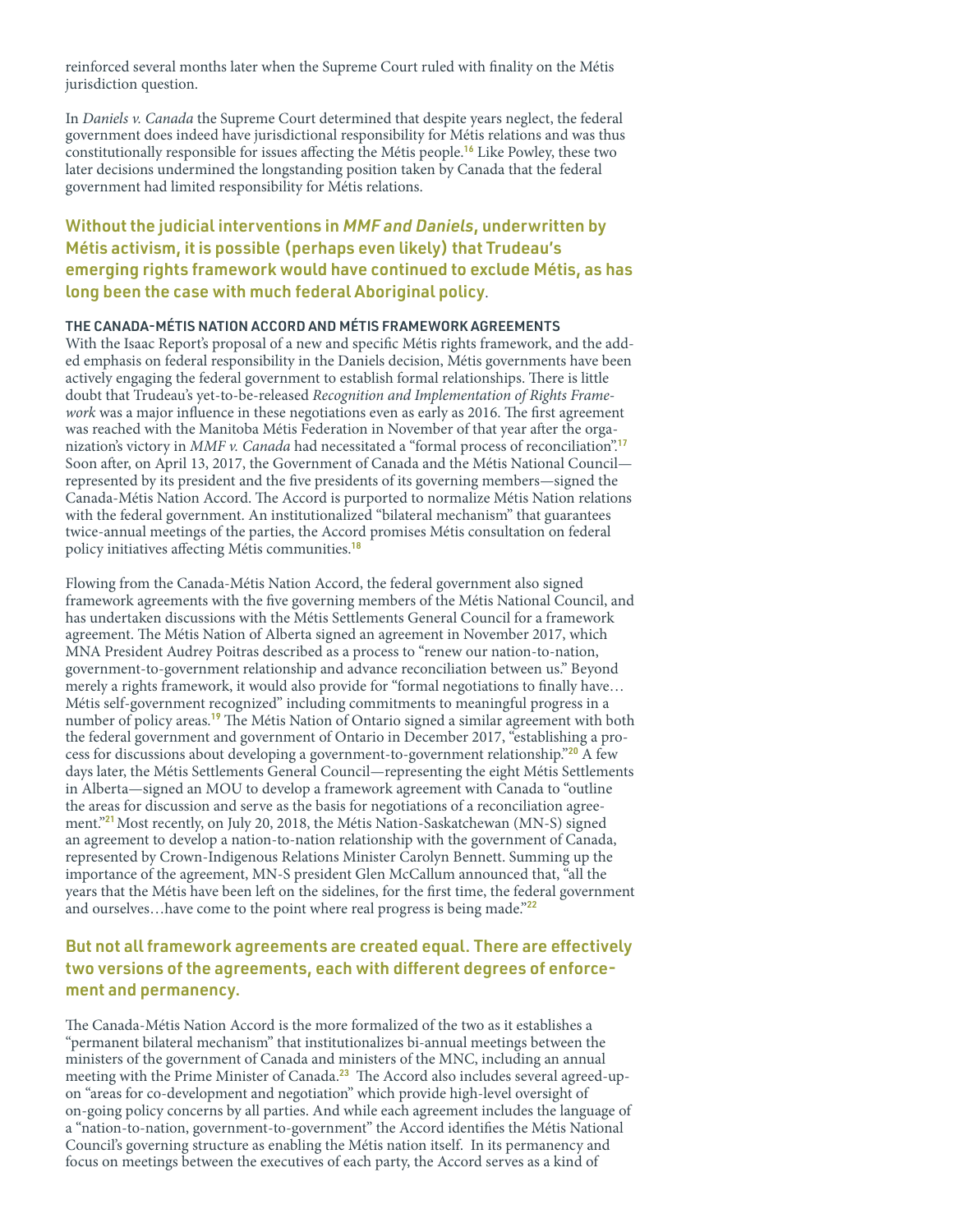reinforced several months later when the Supreme Court ruled with finality on the Métis jurisdiction question.

In Daniels v. Canada the Supreme Court determined that despite years neglect, the federal government does indeed have jurisdictional responsibility for Métis relations and was thus constitutionally responsible for issues affecting the Métis people.<sup>16</sup> Like Powley, these two later decisions undermined the longstanding position taken by Canada that the federal government had limited responsibility for Métis relations.

## Without the judicial interventions in *MMF and Daniels*, underwritten by Métis activism, it is possible (perhaps even likely) that Trudeau's emerging rights framework would have continued to exclude Métis, as has long been the case with much federal Aboriginal policy.

#### THE CANADA-MÉTIS NATION ACCORD AND MÉTIS FRAMEWORK AGREEMENTS

With the Isaac Report's proposal of a new and specific Métis rights framework, and the added emphasis on federal responsibility in the Daniels decision, Métis governments have been actively engaging the federal government to establish formal relationships. There is little doubt that Trudeau's yet-to-be-released Recognition and Implementation of Rights Framework was a major influence in these negotiations even as early as 2016. The first agreement was reached with the Manitoba Métis Federation in November of that year after the organization's victory in MMF v. Canada had necessitated a "formal process of reconciliation".<sup>17</sup> Soon after, on April 13, 2017, the Government of Canada and the Métis National Council represented by its president and the five presidents of its governing members—signed the Canada-Métis Nation Accord. The Accord is purported to normalize Métis Nation relations with the federal government. An institutionalized "bilateral mechanism" that guarantees twice-annual meetings of the parties, the Accord promises Métis consultation on federal policy initiatives affecting Métis communities.<sup>18</sup>

Flowing from the Canada-Métis Nation Accord, the federal government also signed framework agreements with the five governing members of the Métis National Council, and has undertaken discussions with the Métis Settlements General Council for a framework agreement. The Métis Nation of Alberta signed an agreement in November 2017, which MNA President Audrey Poitras described as a process to "renew our nation-to-nation, government-to-government relationship and advance reconciliation between us." Beyond merely a rights framework, it would also provide for "formal negotiations to finally have… Métis self-government recognized" including commitments to meaningful progress in a number of policy areas.<sup>19</sup> The Métis Nation of Ontario signed a similar agreement with both the federal government and government of Ontario in December 2017, "establishing a process for discussions about developing a government-to-government relationship."<sup>20</sup> A few days later, the Métis Settlements General Council—representing the eight Métis Settlements in Alberta—signed an MOU to develop a framework agreement with Canada to "outline the areas for discussion and serve as the basis for negotiations of a reconciliation agreement."<sup>21</sup> Most recently, on July 20, 2018, the Métis Nation-Saskatchewan (MN-S) signed an agreement to develop a nation-to-nation relationship with the government of Canada, represented by Crown-Indigenous Relations Minister Carolyn Bennett. Summing up the importance of the agreement, MN-S president Glen McCallum announced that, "all the years that the Métis have been left on the sidelines, for the first time, the federal government and ourselves...have come to the point where real progress is being made."<sup>22</sup>

## But not all framework agreements are created equal. There are effectively two versions of the agreements, each with different degrees of enforcement and permanency.

The Canada-Métis Nation Accord is the more formalized of the two as it establishes a "permanent bilateral mechanism" that institutionalizes bi-annual meetings between the ministers of the government of Canada and ministers of the MNC, including an annual meeting with the Prime Minister of Canada.<sup>23</sup> The Accord also includes several agreed-upon "areas for co-development and negotiation" which provide high-level oversight of on-going policy concerns by all parties. And while each agreement includes the language of a "nation-to-nation, government-to-government" the Accord identifies the Métis National Council's governing structure as enabling the Métis nation itself. In its permanency and focus on meetings between the executives of each party, the Accord serves as a kind of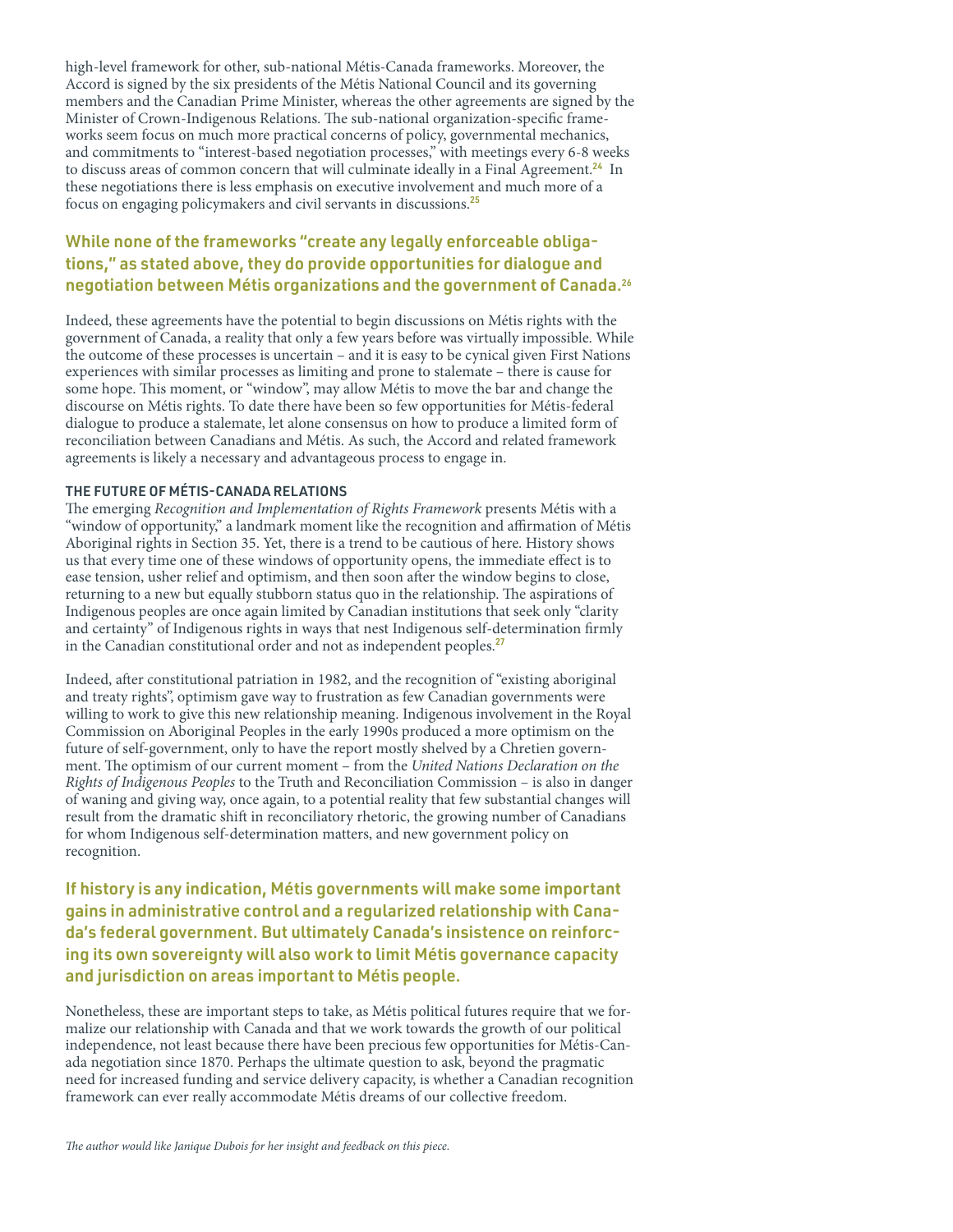high-level framework for other, sub-national Métis-Canada frameworks. Moreover, the Accord is signed by the six presidents of the Métis National Council and its governing members and the Canadian Prime Minister, whereas the other agreements are signed by the Minister of Crown-Indigenous Relations. The sub-national organization-specific frameworks seem focus on much more practical concerns of policy, governmental mechanics, and commitments to "interest-based negotiation processes," with meetings every 6-8 weeks to discuss areas of common concern that will culminate ideally in a Final Agreement.<sup>24</sup> In these negotiations there is less emphasis on executive involvement and much more of a focus on engaging policymakers and civil servants in discussions.<sup>25</sup>

## While none of the frameworks "create any legally enforceable obligations," as stated above, they do provide opportunities for dialogue and negotiation between Métis organizations and the government of Canada.<sup>26</sup>

Indeed, these agreements have the potential to begin discussions on Métis rights with the government of Canada, a reality that only a few years before was virtually impossible. While the outcome of these processes is uncertain – and it is easy to be cynical given First Nations experiences with similar processes as limiting and prone to stalemate – there is cause for some hope. This moment, or "window", may allow Métis to move the bar and change the discourse on Métis rights. To date there have been so few opportunities for Métis-federal dialogue to produce a stalemate, let alone consensus on how to produce a limited form of reconciliation between Canadians and Métis. As such, the Accord and related framework agreements is likely a necessary and advantageous process to engage in.

#### THE FUTURE OF MÉTIS-CANADA RELATIONS

The emerging Recognition and Implementation of Rights Framework presents Métis with a "window of opportunity," a landmark moment like the recognition and affirmation of Métis Aboriginal rights in Section 35. Yet, there is a trend to be cautious of here. History shows us that every time one of these windows of opportunity opens, the immediate effect is to ease tension, usher relief and optimism, and then soon after the window begins to close, returning to a new but equally stubborn status quo in the relationship. The aspirations of Indigenous peoples are once again limited by Canadian institutions that seek only "clarity and certainty" of Indigenous rights in ways that nest Indigenous self-determination firmly in the Canadian constitutional order and not as independent peoples.<sup>27</sup>

Indeed, after constitutional patriation in 1982, and the recognition of "existing aboriginal and treaty rights", optimism gave way to frustration as few Canadian governments were willing to work to give this new relationship meaning. Indigenous involvement in the Royal Commission on Aboriginal Peoples in the early 1990s produced a more optimism on the future of self-government, only to have the report mostly shelved by a Chretien government. The optimism of our current moment – from the United Nations Declaration on the Rights of Indigenous Peoples to the Truth and Reconciliation Commission – is also in danger of waning and giving way, once again, to a potential reality that few substantial changes will result from the dramatic shift in reconciliatory rhetoric, the growing number of Canadians for whom Indigenous self-determination matters, and new government policy on recognition.

If history is any indication, Métis governments will make some important gains in administrative control and a regularized relationship with Canada's federal government. But ultimately Canada's insistence on reinforcing its own sovereignty will also work to limit Métis governance capacity and jurisdiction on areas important to Métis people.

Nonetheless, these are important steps to take, as Métis political futures require that we formalize our relationship with Canada and that we work towards the growth of our political independence, not least because there have been precious few opportunities for Métis-Canada negotiation since 1870. Perhaps the ultimate question to ask, beyond the pragmatic need for increased funding and service delivery capacity, is whether a Canadian recognition framework can ever really accommodate Métis dreams of our collective freedom.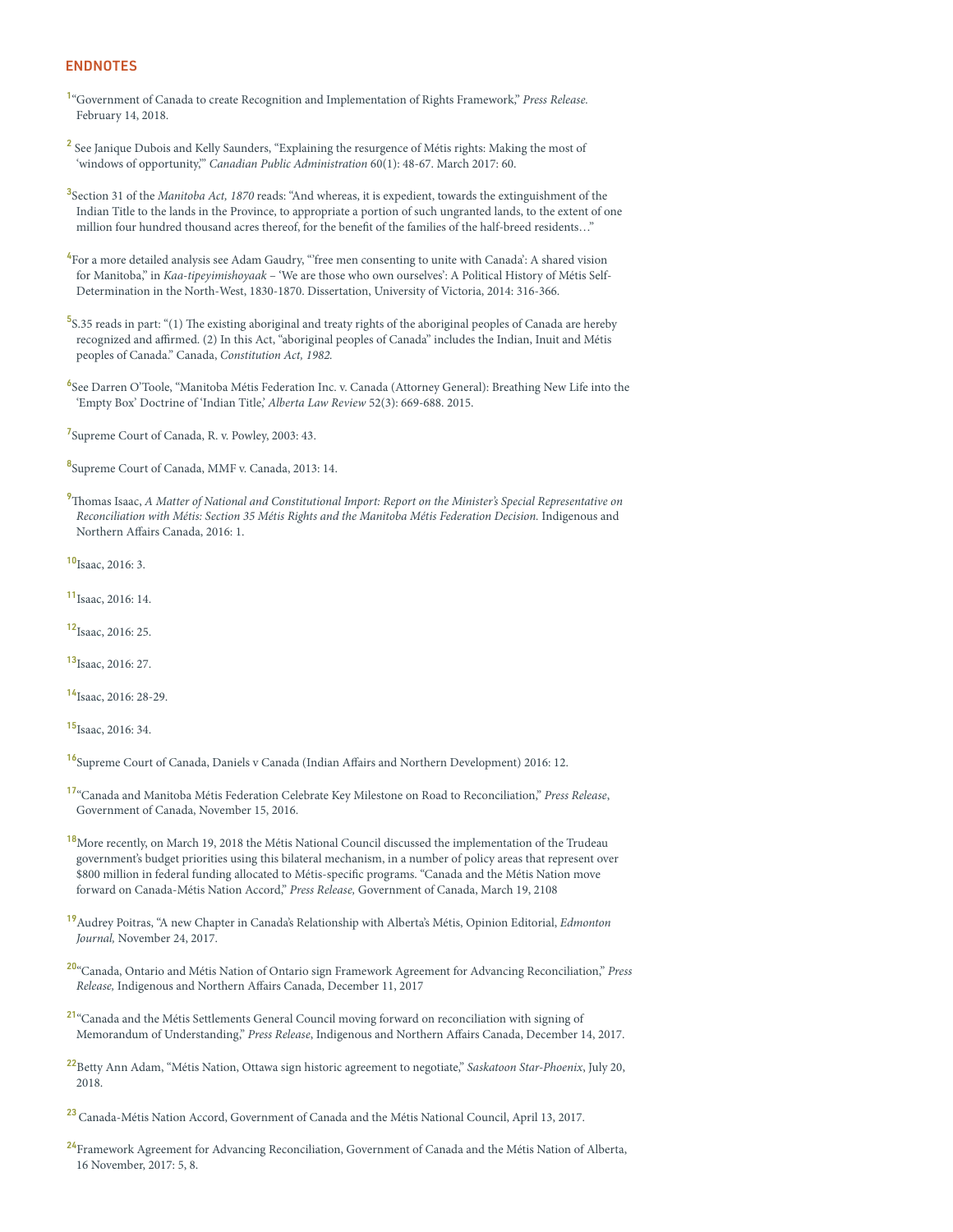#### ENDNOTES

<sup>1</sup>["Government of Canada to create Recognition and Implementation of Rights Framework,"](https://pm.gc.ca/eng/news/2018/02/14/government-canada-create-recognition-and-implementation-rights-framework) Press Release. [February 14, 2018.](https://pm.gc.ca/eng/news/2018/02/14/government-canada-create-recognition-and-implementation-rights-framework) 

<sup>2</sup> See Janique Dubois and Kelly Saunders, "Explaining the resurgence of Métis rights: Making the most of 'windows of opportunity," Canadian Public Administration 60(1): 48-67. March 2017: 60.

<sup>3</sup>Section 31 of the Manitoba Act, 1870 reads: "And whereas, it is expedient, towards the extinguishment of the Indian Title to the lands in the Province, to appropriate a portion of such ungranted lands, to the extent of one million four hundred thousand acres thereof, for the benefit of the families of the half-breed residents…"

<sup>4</sup> For a more detailed analysis see Adam Gaudry, "free men consenting to unite with Canada': A shared vision for Manitoba," in Kaa-tipeyimishoyaak – 'We are those who own ourselves': A Political History of Métis Self-Determination in the North-West, 1830-1870. Dissertation, University of Victoria, 2014: 316-366.

<sup>5</sup>S.35 reads in part: "(1) The existing aboriginal and treaty rights of the aboriginal peoples of Canada are hereby recognized and affirmed. (2) In this Act, "aboriginal peoples of Canada" includes the Indian, Inuit and Métis peoples of Canada." Canada, Constitution Act, 1982.

6 See Darren O'Toole, "Manitoba Métis Federation Inc. v. Canada (Attorney General): Breathing New Life into the 'Empty Box' Doctrine of 'Indian Title,' Alberta Law Review 52(3): 669-688. 2015.

<sup>7</sup>Supreme Court of Canada, R. v. Powley, 2003: 43.

8Supreme Court of Canada, MMF v. Canada, 2013: 14.

<sup>9</sup>Thomas Isaac, [A Matter of National and Constitutional Import: Report on the Minister's Special Representative on](https://www.aadnc-aandc.gc.ca/eng/1467641790303/1467641835266)  [Reconciliation with Métis: Section 35 Métis Rights and the Manitoba Métis Federation Decision.](https://www.aadnc-aandc.gc.ca/eng/1467641790303/1467641835266) Indigenous and [Northern Affairs Canada, 2016: 1.](https://www.aadnc-aandc.gc.ca/eng/1467641790303/1467641835266) 

10<sub>Isaac</sub>, 2016: 3.

<sup>11</sup>Isaac, 2016: 14.

<sup>12</sup>Isaac, 2016: 25.

 $13$ <sub>Isaac</sub>, 2016; 27.

<sup>14</sup>Isaac, 2016: 28-29.

<sup>15</sup>Isaac, 2016: 34.

<sup>16</sup>[Supreme Court of Canada, Daniels v Canada \(Indian Affairs and Northern Development\) 2016: 12.](https://scc-csc.lexum.com/scc-csc/scc-csc/en/item/15858/index.do) 

- 17["Canada and Manitoba Métis Federation Celebrate Key Milestone on Road to Reconciliation,"](https://www.newswire.ca/news-releases/canada-and-manitoba-metis-federation-celebrate-key-milestone-on-road-to-reconciliation-601306875.html) Press Release, [Government of Canada, November 15, 2016.](https://www.newswire.ca/news-releases/canada-and-manitoba-metis-federation-celebrate-key-milestone-on-road-to-reconciliation-601306875.html)
- <sup>18</sup>More recently, on March 19, 2018 the Métis National Council discussed the implementation of the Trudeau government's budget priorities using this bilateral mechanism, in a number of policy areas that represent over \$800 million in federal funding allocated to Métis-specific programs. ["Canada and the Métis Nation move](https://www.newswire.ca/news-releases/canada-and-the-metis-nation-move-forward-on-canada-metis-nation-accord-677299583.html 
)  [forward on Canada-Métis Nation Accord,"](https://www.newswire.ca/news-releases/canada-and-the-metis-nation-move-forward-on-canada-metis-nation-accord-677299583.html 
) Press Release, Government of Canada, March 19, 2108
- <sup>19</sup> [Audrey Poitras, "A new Chapter in Canada's Relationship with Alberta's Métis, Opinion Editorial,](https://edmontonjournal.com/opinion/columnists/opinion-a-new-chapter-in-canadas-relationship-with-albertas-metis) Edmonton Journal, [November 24, 2017.](https://edmontonjournal.com/opinion/columnists/opinion-a-new-chapter-in-canadas-relationship-with-albertas-metis)
- 20["Canada, Ontario and Métis Nation of Ontario sign Framework Agreement for Advancing Reconciliation,"](https://www.newswire.ca/news-releases/canada-ontario-and-metis-nation-of-ontario-sign-framework-agreement-for-advancing-reconciliation-663473483.html) Press Release, [Indigenous and Northern Affairs Canada, December 11, 2017](https://www.newswire.ca/news-releases/canada-ontario-and-metis-nation-of-ontario-sign-framework-agreement-for-advancing-reconciliation-663473483.html)
- <sup>21</sup>"Canada and the Métis Settlements General Council moving forward on reconciliation with signing of Memorandum of Understanding," Press Release[, Indigenous and Northern Affairs Canada, December 14, 2017.](https://www.newswire.ca/news-releases/canada-and-the-metis-settlements-general-council-moving-forward-on-reconciliation-with-signing-of-memorandum-of-understanding-664194883.html)
- <sup>22</sup>[Betty Ann Adam, "Métis Nation, Ottawa sign historic agreement to negotiate,"](https://thestarphoenix.com/news/local-news/metis-nation-ottawa-sign-historic-agreement-to-negotiate) Saskatoon Star-Phoenix, July 20, [2018.](https://thestarphoenix.com/news/local-news/metis-nation-ottawa-sign-historic-agreement-to-negotiate)

<sup>23</sup> [Canada-Métis Nation Accord, Government of Canada and the Métis National Council, April 13, 2017.](https://pm.gc.ca/eng/canada-metis-nation-accord)

<sup>24</sup>Framework Agreement for Advancing Reconciliation, Government of Canada and the Métis Nation of Alberta, [16 November, 2017: 5, 8.](http://albertametis.com/wp-content/uploads/2017/02/MNA-GOC-Framework-Advancing-Reconciliation_SIGNED.pdf)